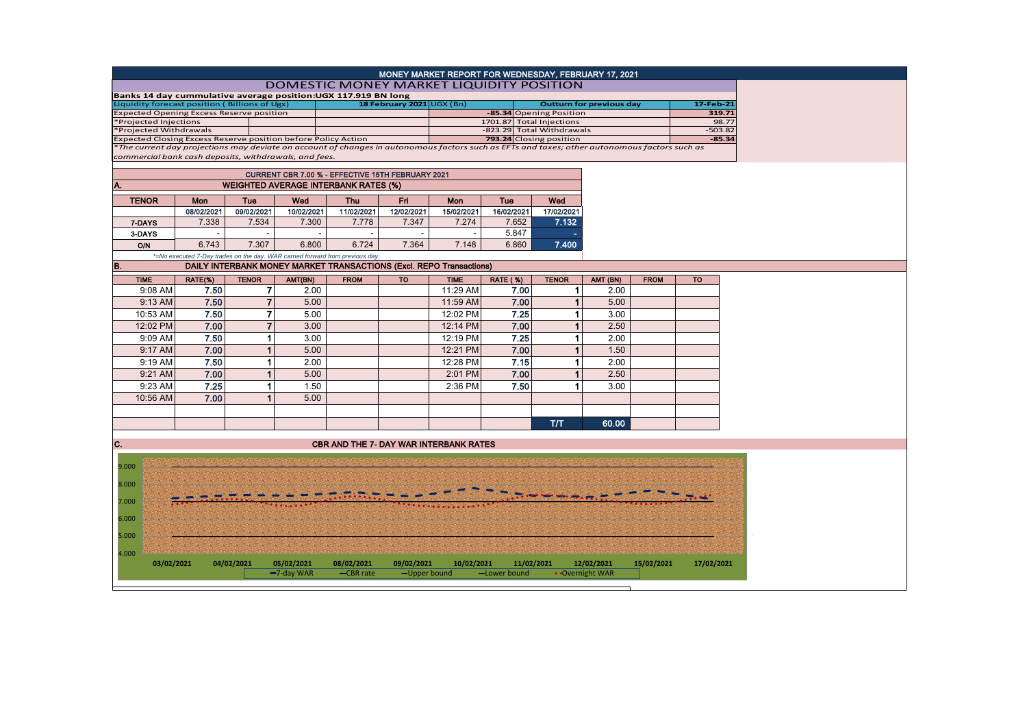| MONEY MARKET REPORT FOR WEDNESDAY, FEBRUARY 17, 2021<br>DOMESTIC MONEY MARKET LIQUIDITY POSITION                                             |                                             |                                 |                |                                                                               |                         |                          |                           |                         |                 |             |            |  |
|----------------------------------------------------------------------------------------------------------------------------------------------|---------------------------------------------|---------------------------------|----------------|-------------------------------------------------------------------------------|-------------------------|--------------------------|---------------------------|-------------------------|-----------------|-------------|------------|--|
| Banks 14 day cummulative average position:UGX 117.919 BN long                                                                                |                                             |                                 |                |                                                                               |                         |                          |                           |                         |                 |             |            |  |
| Liquidity forecast position (Billions of Ugx)                                                                                                |                                             | <b>Outturn for previous day</b> |                | 17-Feb-21                                                                     |                         |                          |                           |                         |                 |             |            |  |
| <b>Expected Opening Excess Reserve position</b>                                                                                              |                                             | 18 February 2021 UGX (Bn)       |                |                                                                               | -85.34 Opening Position |                          |                           | 319.71                  |                 |             |            |  |
| *Projected Injections                                                                                                                        |                                             |                                 |                |                                                                               |                         | 1701.87 Total Injections |                           |                         |                 |             | 98.77      |  |
| Projected Withdrawals                                                                                                                        |                                             |                                 |                |                                                                               |                         |                          | -823.29 Total Withdrawals |                         |                 | $-503.82$   |            |  |
| Expected Closing Excess Reserve position before Policy Action                                                                                |                                             |                                 |                |                                                                               |                         |                          |                           | 793.24 Closing position |                 |             | $-85.34$   |  |
| The current day projections may deviate on account of changes in autonomous factors such as EFTs and taxes; other autonomous factors such as |                                             |                                 |                |                                                                               |                         |                          |                           |                         |                 |             |            |  |
| commercial bank cash deposits, withdrawals, and fees.                                                                                        |                                             |                                 |                |                                                                               |                         |                          |                           |                         |                 |             |            |  |
|                                                                                                                                              |                                             |                                 |                | CURRENT CBR 7.00 % - EFFECTIVE 15TH FEBRUARY 2021                             |                         |                          |                           |                         |                 |             |            |  |
|                                                                                                                                              | <b>WEIGHTED AVERAGE INTERBANK RATES (%)</b> |                                 |                |                                                                               |                         |                          |                           |                         |                 |             |            |  |
|                                                                                                                                              |                                             |                                 |                |                                                                               |                         |                          |                           |                         |                 |             |            |  |
| <b>TENOR</b>                                                                                                                                 | Mon                                         | Tue                             | Wed            | <b>Thu</b>                                                                    | <b>Fri</b>              | Mon                      | <b>Tue</b>                | Wed                     |                 |             |            |  |
|                                                                                                                                              | 08/02/2021                                  | 09/02/2021                      | 10/02/2021     | 11/02/2021                                                                    | 12/02/2021              | 15/02/2021               | 16/02/2021                | 17/02/2021              |                 |             |            |  |
| 7-DAYS                                                                                                                                       | 7.338                                       | 7.534                           | 7.300          | 7.778                                                                         | 7.347                   | 7.274                    | 7.652                     | 7.132                   |                 |             |            |  |
| 3-DAYS                                                                                                                                       |                                             |                                 | $\overline{a}$ |                                                                               |                         | $\overline{\phantom{a}}$ | 5.847                     |                         |                 |             |            |  |
| O/N                                                                                                                                          | 6.743                                       | 7.307                           | 6.800          | 6.724                                                                         | 7.364                   | 7.148                    | 6.860                     | 7.400                   |                 |             |            |  |
|                                                                                                                                              |                                             |                                 |                | *=No executed 7-Day trades on the day. WAR carried forward from previous day. |                         |                          |                           |                         |                 |             |            |  |
| B.                                                                                                                                           |                                             |                                 |                | DAILY INTERBANK MONEY MARKET TRANSACTIONS (Excl. REPO Transactions)           |                         |                          |                           |                         |                 |             |            |  |
|                                                                                                                                              |                                             |                                 |                |                                                                               |                         |                          |                           |                         |                 |             |            |  |
| <b>TIME</b>                                                                                                                                  | RATE(%)                                     | <b>TENOR</b>                    | AMT(BN)        | <b>FROM</b>                                                                   | <b>TO</b>               | <b>TIME</b>              | <b>RATE (%)</b>           | <b>TENOR</b>            | AMT (BN)        | <b>FROM</b> | <b>TO</b>  |  |
| 9:08 AM                                                                                                                                      | 7.50                                        | $\overline{7}$                  | 2.00           |                                                                               |                         | 11:29 AM                 | 7.00                      | $\mathbf{1}$            | 2.00            |             |            |  |
| 9:13 AM                                                                                                                                      | 7.50                                        | $\overline{7}$                  | 5.00           |                                                                               |                         | 11:59 AM                 | 7.00                      | 1                       | 5.00            |             |            |  |
| 10:53 AM                                                                                                                                     | 7.50                                        | $\overline{7}$                  | 5.00           |                                                                               |                         | 12:02 PM                 | 7.25                      | 1                       | 3.00            |             |            |  |
| 12:02 PM                                                                                                                                     | 7.00                                        | $\overline{7}$                  | 3.00           |                                                                               |                         | 12:14 PM                 | 7.00                      | 1                       | 2.50            |             |            |  |
| 9:09 AM                                                                                                                                      | 7.50                                        | 1                               | 3.00           |                                                                               |                         | 12:19 PM                 | 7.25                      | 1                       | 2.00            |             |            |  |
|                                                                                                                                              |                                             |                                 |                |                                                                               |                         |                          |                           | 1                       |                 |             |            |  |
| 9:17 AM                                                                                                                                      | 7.00                                        | 1                               | 5.00           |                                                                               |                         | 12:21 PM                 | 7.00                      |                         | 1.50            |             |            |  |
| 9:19 AM                                                                                                                                      | 7.50                                        | 1                               | 2.00           |                                                                               |                         | 12:28 PM                 | 7.15                      | 1                       | 2.00            |             |            |  |
| 9:21 AM                                                                                                                                      | 7.00                                        | 1                               | 5.00           |                                                                               |                         | 2:01 PM                  | 7.00                      | 1                       | 2.50            |             |            |  |
| 9:23 AM                                                                                                                                      | 7.25                                        | $\mathbf{1}$                    | 1.50           |                                                                               |                         | 2:36 PM                  | 7.50                      | 1                       | 3.00            |             |            |  |
| 10:56 AM                                                                                                                                     | 7.00                                        | 1                               | 5.00           |                                                                               |                         |                          |                           |                         |                 |             |            |  |
|                                                                                                                                              |                                             |                                 |                |                                                                               |                         |                          |                           |                         |                 |             |            |  |
|                                                                                                                                              |                                             |                                 |                |                                                                               |                         |                          |                           |                         |                 |             |            |  |
|                                                                                                                                              |                                             |                                 |                |                                                                               |                         |                          |                           | T/T                     | 60.00           |             |            |  |
|                                                                                                                                              |                                             |                                 |                |                                                                               |                         |                          |                           |                         |                 |             |            |  |
| C.                                                                                                                                           |                                             |                                 |                | <b>CBR AND THE 7- DAY WAR INTERBANK RATES</b>                                 |                         |                          |                           |                         |                 |             |            |  |
|                                                                                                                                              |                                             |                                 |                |                                                                               |                         |                          |                           |                         |                 |             |            |  |
| 9.000                                                                                                                                        |                                             |                                 |                |                                                                               |                         |                          |                           |                         |                 |             |            |  |
| 8.000                                                                                                                                        |                                             |                                 |                |                                                                               |                         |                          |                           |                         |                 |             |            |  |
|                                                                                                                                              |                                             |                                 |                |                                                                               |                         |                          |                           |                         |                 |             |            |  |
| 7.000                                                                                                                                        |                                             |                                 |                |                                                                               |                         |                          |                           |                         |                 |             |            |  |
|                                                                                                                                              |                                             |                                 |                |                                                                               |                         |                          |                           |                         |                 |             |            |  |
| 6.000                                                                                                                                        |                                             |                                 |                |                                                                               |                         |                          |                           |                         |                 |             |            |  |
|                                                                                                                                              |                                             |                                 |                |                                                                               |                         |                          |                           |                         |                 |             |            |  |
| 5.000                                                                                                                                        |                                             |                                 |                |                                                                               |                         |                          |                           |                         |                 |             |            |  |
| 4.000                                                                                                                                        |                                             |                                 |                |                                                                               |                         |                          |                           |                         |                 |             |            |  |
| 03/02/2021                                                                                                                                   |                                             | 04/02/2021                      | 05/02/2021     | 08/02/2021                                                                    | 09/02/2021              | 10/02/2021               |                           | 11/02/2021              | 12/02/2021      | 15/02/2021  | 17/02/2021 |  |
|                                                                                                                                              |                                             |                                 | -7-day WAR     | -CBR rate                                                                     | $-$ Upper bound         |                          | -Lower bound              |                         | • Overnight WAR |             |            |  |
|                                                                                                                                              |                                             |                                 |                |                                                                               |                         |                          |                           |                         |                 |             |            |  |